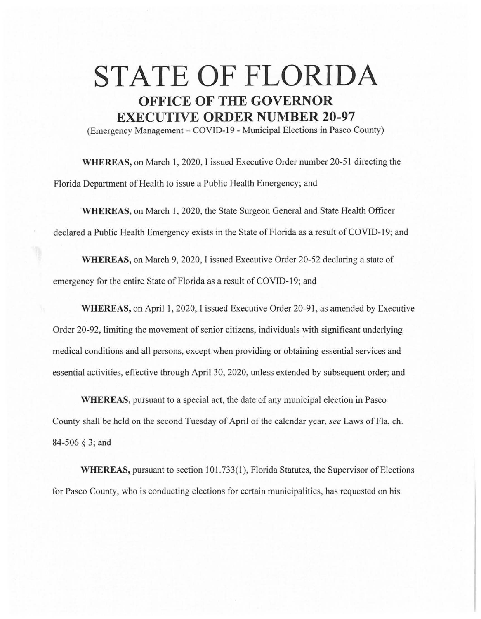## **STATE OF FLORIDA OFFICE OF THE GOVERNOR EXECUTIVE ORDER NUMBER 20-97**

(Emergency Management - COVID-19 - Municipal Elections in Pasco County)

**WHEREAS,** on March 1, 2020, I issued Executive Order number 20-51 directing the Florida Department of Health to issue a Public Health Emergency; and

**WHEREAS,** on March 1, 2020, the State Surgeon General and State Health Officer declared a Public Health Emergency exists in the State of Florida as a result of COVID-19; and

**WHEREAS,** on March 9, 2020, I issued Executive Order 20-52 declaring a state of emergency for the entire State of Florida as a result of COVID-19; and

**WHEREAS,** on April 1, 2020, I issued Executive Order 20-91, as amended by Executive Order 20-92, limiting the movement of senior citizens, individuals with significant underlying medical conditions and all persons, except when providing or obtaining essential services and essential activities, effective through April 30, 2020, unless extended by subsequent order; and

**WHEREAS,** pursuant to a special act, the date of any municipal election in Pasco County shall be held on the second Tuesday of April of the calendar year, *see* Laws of Fla. ch. 84-506 § 3; and

**WHEREAS, pursuant to section 101.733(1), Florida Statutes, the Supervisor of Elections** for Pasco County, who is conducting elections for certain municipalities, has requested on his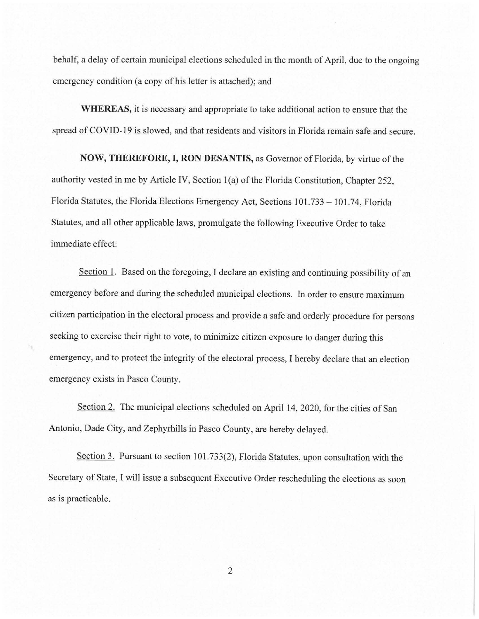behalf, a delay of certain municipal elections scheduled in the month of April, due to the ongoing emergency condition (a copy of his letter is attached); and

**WHEREAS,** it is necessary and appropriate to take additional action to ensure that the spread of COVID-19 is slowed, and that residents and visitors in Florida remain safe and secure.

**NOW, THEREFORE, I, RON DESANTIS,** as Governor of Florida, by virtue of the authority vested in me by Article IV, Section l(a) of the Florida Constitution, Chapter 252, Florida Statutes, the Florida Elections Emergency Act, Sections 101.733 – 101.74, Florida Statutes, and all other applicable laws, promulgate the following Executive Order to take immediate effect:

Section 1. Based on the foregoing, I declare an existing and continuing possibility of an emergency before and during the scheduled municipal elections. In order to ensure maximum citizen participation in the electoral process and provide a safe and orderly procedure for persons seeking to exercise their right to vote, to minimize citizen exposure to danger during this emergency, and to protect the integrity of the electoral process, I hereby declare that an election emergency exists in Pasco County.

Section 2. The municipal elections scheduled on April 14, 2020, for the cities of San Antonio, Dade City, and Zephyrhills in Pasco County, are hereby delayed.

Section 3. Pursuant to section 101.733(2), Florida Statutes, upon consultation with the Secretary of State, I will issue a subsequent Executive Order rescheduling the elections as soon as is practicable.

2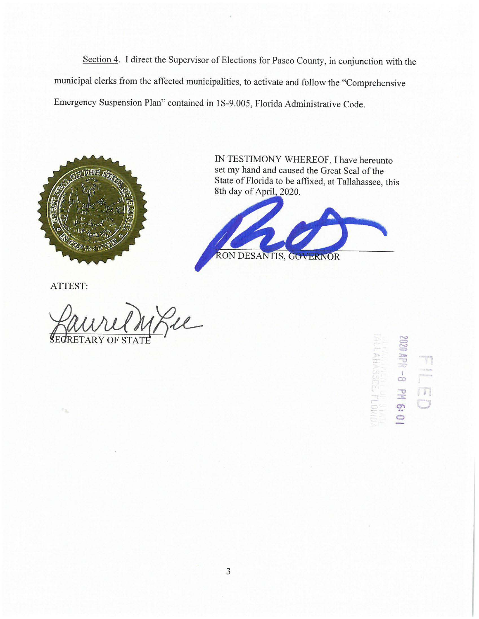Section 4. I direct the Supervisor of Elections for Pasco County, in conjunction with the municipal clerks from the affected municipalities, to activate and follow the "Comprehensive Emergency Suspension Plan" contained in I S-9.005, Florida Administrative Code.



ATTEST:

See

IN TESTIMONY WHEREOF, I have hereunto set my hand and caused the Great Seal of the State of Florida to be affixed, at Tallahassee, this 8th day of April, 2020.



**MOA APR**  $\frac{1}{60}$  $\mathbb{R}^d$ T 16:01